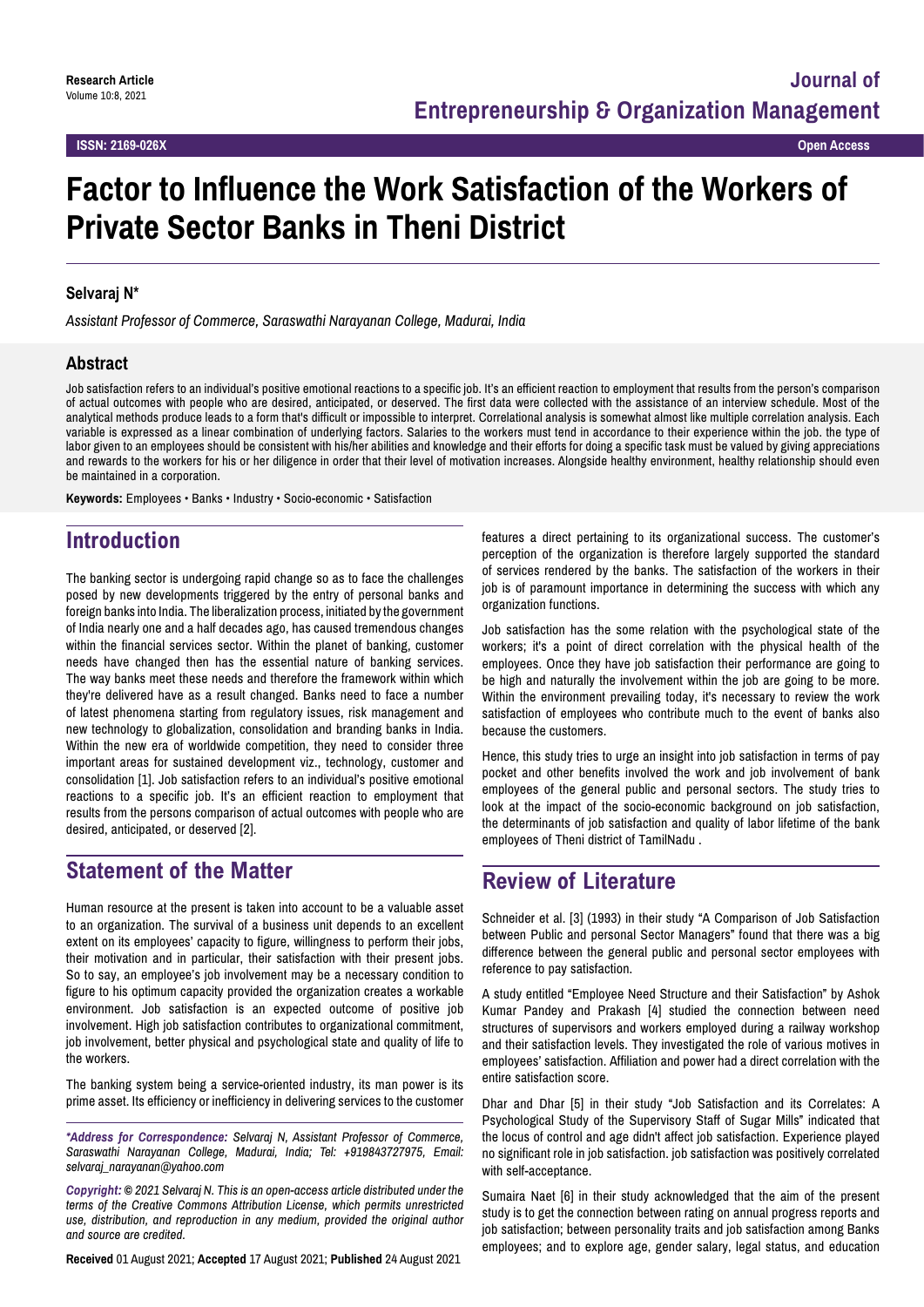# **Factor to Influence the Work Satisfaction of the Workers of Private Sector Banks in Theni District**

#### **Selvaraj N\***

*Assistant Professor of Commerce, Saraswathi Narayanan College, Madurai, India*

#### **Abstract**

Job satisfaction refers to an individual's positive emotional reactions to a specific job. It's an efficient reaction to employment that results from the person's comparison of actual outcomes with people who are desired, anticipated, or deserved. The first data were collected with the assistance of an interview schedule. Most of the analytical methods produce leads to a form that's difficult or impossible to interpret. Correlational analysis is somewhat almost like multiple correlation analysis. Each variable is expressed as a linear combination of underlying factors. Salaries to the workers must tend in accordance to their experience within the job. the type of labor given to an employees should be consistent with his/her abilities and knowledge and their efforts for doing a specific task must be valued by giving appreciations and rewards to the workers for his or her diligence in order that their level of motivation increases. Alongside healthy environment, healthy relationship should even be maintained in a corporation.

**Keywords:** Employees • Banks • Industry • Socio-economic • Satisfaction

### **Introduction**

The banking sector is undergoing rapid change so as to face the challenges posed by new developments triggered by the entry of personal banks and foreign banks into India. The liberalization process, initiated by the government of India nearly one and a half decades ago, has caused tremendous changes within the financial services sector. Within the planet of banking, customer needs have changed then has the essential nature of banking services. The way banks meet these needs and therefore the framework within which they're delivered have as a result changed. Banks need to face a number of latest phenomena starting from regulatory issues, risk management and new technology to globalization, consolidation and branding banks in India. Within the new era of worldwide competition, they need to consider three important areas for sustained development viz., technology, customer and consolidation [1]. Job satisfaction refers to an individual's positive emotional reactions to a specific job. It's an efficient reaction to employment that results from the persons comparison of actual outcomes with people who are desired, anticipated, or deserved [2].

### **Statement of the Matter**

Human resource at the present is taken into account to be a valuable asset to an organization. The survival of a business unit depends to an excellent extent on its employees' capacity to figure, willingness to perform their jobs, their motivation and in particular, their satisfaction with their present jobs. So to say, an employee's job involvement may be a necessary condition to figure to his optimum capacity provided the organization creates a workable environment. Job satisfaction is an expected outcome of positive job involvement. High job satisfaction contributes to organizational commitment, job involvement, better physical and psychological state and quality of life to the workers.

The banking system being a service-oriented industry, its man power is its prime asset. Its efficiency or inefficiency in delivering services to the customer

*\*Address for Correspondence: Selvaraj N, Assistant Professor of Commerce, Saraswathi Narayanan College, Madurai, India; Tel: +919843727975, Email: selvaraj\_narayanan@yahoo.com*

*Copyright: © 2021 Selvaraj N. This is an open-access article distributed under the terms of the Creative Commons Attribution License, which permits unrestricted use, distribution, and reproduction in any medium, provided the original author and source are credited.*

**Received** 01 August 2021; **Accepted** 17 August 2021; **Published** 24 August 2021

features a direct pertaining to its organizational success. The customer's perception of the organization is therefore largely supported the standard of services rendered by the banks. The satisfaction of the workers in their job is of paramount importance in determining the success with which any organization functions.

Job satisfaction has the some relation with the psychological state of the workers; it's a point of direct correlation with the physical health of the employees. Once they have job satisfaction their performance are going to be high and naturally the involvement within the job are going to be more. Within the environment prevailing today, it's necessary to review the work satisfaction of employees who contribute much to the event of banks also because the customers.

Hence, this study tries to urge an insight into job satisfaction in terms of pay pocket and other benefits involved the work and job involvement of bank employees of the general public and personal sectors. The study tries to look at the impact of the socio-economic background on job satisfaction, the determinants of job satisfaction and quality of labor lifetime of the bank employees of Theni district of TamilNadu .

### **Review of Literature**

Schneider et al. [3] (1993) in their study "A Comparison of Job Satisfaction between Public and personal Sector Managers" found that there was a big difference between the general public and personal sector employees with reference to pay satisfaction.

A study entitled "Employee Need Structure and their Satisfaction" by Ashok Kumar Pandey and Prakash [4] studied the connection between need structures of supervisors and workers employed during a railway workshop and their satisfaction levels. They investigated the role of various motives in employees' satisfaction. Affiliation and power had a direct correlation with the entire satisfaction score.

Dhar and Dhar [5] in their study "Job Satisfaction and its Correlates: A Psychological Study of the Supervisory Staff of Sugar Mills" indicated that the locus of control and age didn't affect job satisfaction. Experience played no significant role in job satisfaction. job satisfaction was positively correlated with self-acceptance.

Sumaira Naet [6] in their study acknowledged that the aim of the present study is to get the connection between rating on annual progress reports and job satisfaction; between personality traits and job satisfaction among Banks employees; and to explore age, gender salary, legal status, and education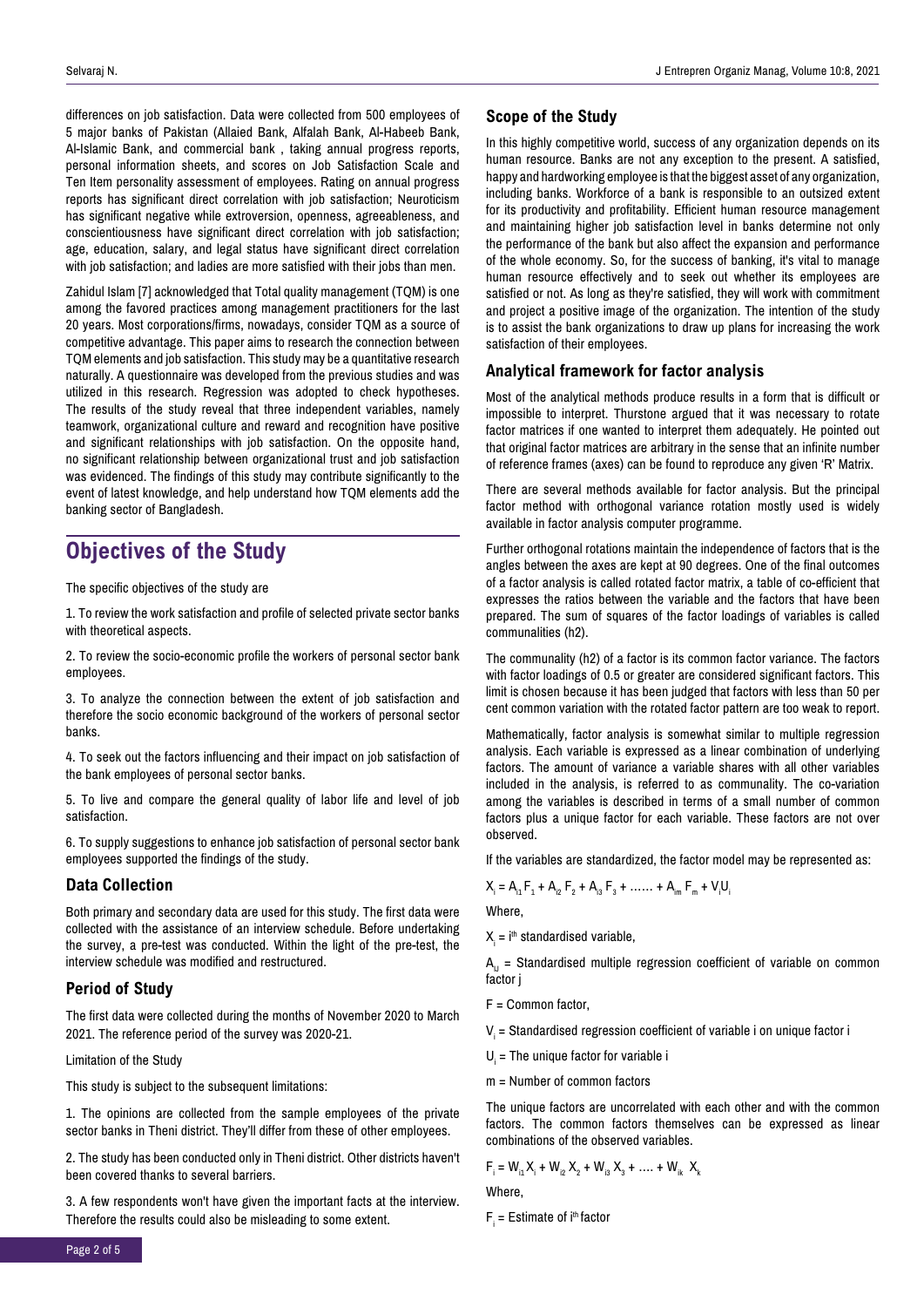differences on job satisfaction. Data were collected from 500 employees of 5 major banks of Pakistan (Allaied Bank, Alfalah Bank, Al-Habeeb Bank, Al-Islamic Bank, and commercial bank , taking annual progress reports, personal information sheets, and scores on Job Satisfaction Scale and Ten Item personality assessment of employees. Rating on annual progress reports has significant direct correlation with job satisfaction; Neuroticism has significant negative while extroversion, openness, agreeableness, and conscientiousness have significant direct correlation with job satisfaction; age, education, salary, and legal status have significant direct correlation with job satisfaction; and ladies are more satisfied with their jobs than men.

Zahidul Islam [7] acknowledged that Total quality management (TQM) is one among the favored practices among management practitioners for the last 20 years. Most corporations/firms, nowadays, consider TQM as a source of competitive advantage. This paper aims to research the connection between TQM elements and job satisfaction. This study may be a quantitative research naturally. A questionnaire was developed from the previous studies and was utilized in this research. Regression was adopted to check hypotheses. The results of the study reveal that three independent variables, namely teamwork, organizational culture and reward and recognition have positive and significant relationships with job satisfaction. On the opposite hand, no significant relationship between organizational trust and job satisfaction was evidenced. The findings of this study may contribute significantly to the event of latest knowledge, and help understand how TQM elements add the banking sector of Bangladesh.

# **Objectives of the Study**

The specific objectives of the study are

1. To review the work satisfaction and profile of selected private sector banks with theoretical aspects.

2. To review the socio-economic profile the workers of personal sector bank employees.

3. To analyze the connection between the extent of job satisfaction and therefore the socio economic background of the workers of personal sector banks.

4. To seek out the factors influencing and their impact on job satisfaction of the bank employees of personal sector banks.

5. To live and compare the general quality of labor life and level of job satisfaction.

6. To supply suggestions to enhance job satisfaction of personal sector bank employees supported the findings of the study.

#### **Data Collection**

Both primary and secondary data are used for this study. The first data were collected with the assistance of an interview schedule. Before undertaking the survey, a pre-test was conducted. Within the light of the pre-test, the interview schedule was modified and restructured.

#### **Period of Study**

The first data were collected during the months of November 2020 to March 2021. The reference period of the survey was 2020-21.

#### Limitation of the Study

This study is subject to the subsequent limitations:

1. The opinions are collected from the sample employees of the private sector banks in Theni district. They'll differ from these of other employees.

2. The study has been conducted only in Theni district. Other districts haven't been covered thanks to several barriers.

3. A few respondents won't have given the important facts at the interview. Therefore the results could also be misleading to some extent.

#### **Scope of the Study**

In this highly competitive world, success of any organization depends on its human resource. Banks are not any exception to the present. A satisfied, happy and hardworking employee is that the biggest asset of any organization, including banks. Workforce of a bank is responsible to an outsized extent for its productivity and profitability. Efficient human resource management and maintaining higher job satisfaction level in banks determine not only the performance of the bank but also affect the expansion and performance of the whole economy. So, for the success of banking, it's vital to manage human resource effectively and to seek out whether its employees are satisfied or not. As long as they're satisfied, they will work with commitment and project a positive image of the organization. The intention of the study is to assist the bank organizations to draw up plans for increasing the work satisfaction of their employees.

#### **Analytical framework for factor analysis**

Most of the analytical methods produce results in a form that is difficult or impossible to interpret. Thurstone argued that it was necessary to rotate factor matrices if one wanted to interpret them adequately. He pointed out that original factor matrices are arbitrary in the sense that an infinite number of reference frames (axes) can be found to reproduce any given 'R' Matrix.

There are several methods available for factor analysis. But the principal factor method with orthogonal variance rotation mostly used is widely available in factor analysis computer programme.

Further orthogonal rotations maintain the independence of factors that is the angles between the axes are kept at 90 degrees. One of the final outcomes of a factor analysis is called rotated factor matrix, a table of co-efficient that expresses the ratios between the variable and the factors that have been prepared. The sum of squares of the factor loadings of variables is called communalities (h2).

The communality (h2) of a factor is its common factor variance. The factors with factor loadings of 0.5 or greater are considered significant factors. This limit is chosen because it has been judged that factors with less than 50 per cent common variation with the rotated factor pattern are too weak to report.

Mathematically, factor analysis is somewhat similar to multiple regression analysis. Each variable is expressed as a linear combination of underlying factors. The amount of variance a variable shares with all other variables included in the analysis, is referred to as communality. The co-variation among the variables is described in terms of a small number of common factors plus a unique factor for each variable. These factors are not over observed.

If the variables are standardized, the factor model may be represented as:

$$
X_i = A_{i1}F_1 + A_{i2}F_2 + A_{i3}F_3 + \dots + A_{im}F_m + V_iU_i
$$

Where,

 $X_{i}$  = i $^{\text{th}}$  standardised variable,

 $A<sub>1</sub>$  = Standardised multiple regression coefficient of variable on common factor i

- F = Common factor,
- ${\mathsf V}_{\mathsf i}$  = Standardised regression coefficient of variable i on unique factor i
- $U_i$  = The unique factor for variable i
- m = Number of common factors

The unique factors are uncorrelated with each other and with the common factors. The common factors themselves can be expressed as linear combinations of the observed variables.

$$
F_{i} = W_{i1}X_{i} + W_{i2}X_{2} + W_{i3}X_{3} + \dots + W_{ik}X_{k}
$$

**Where**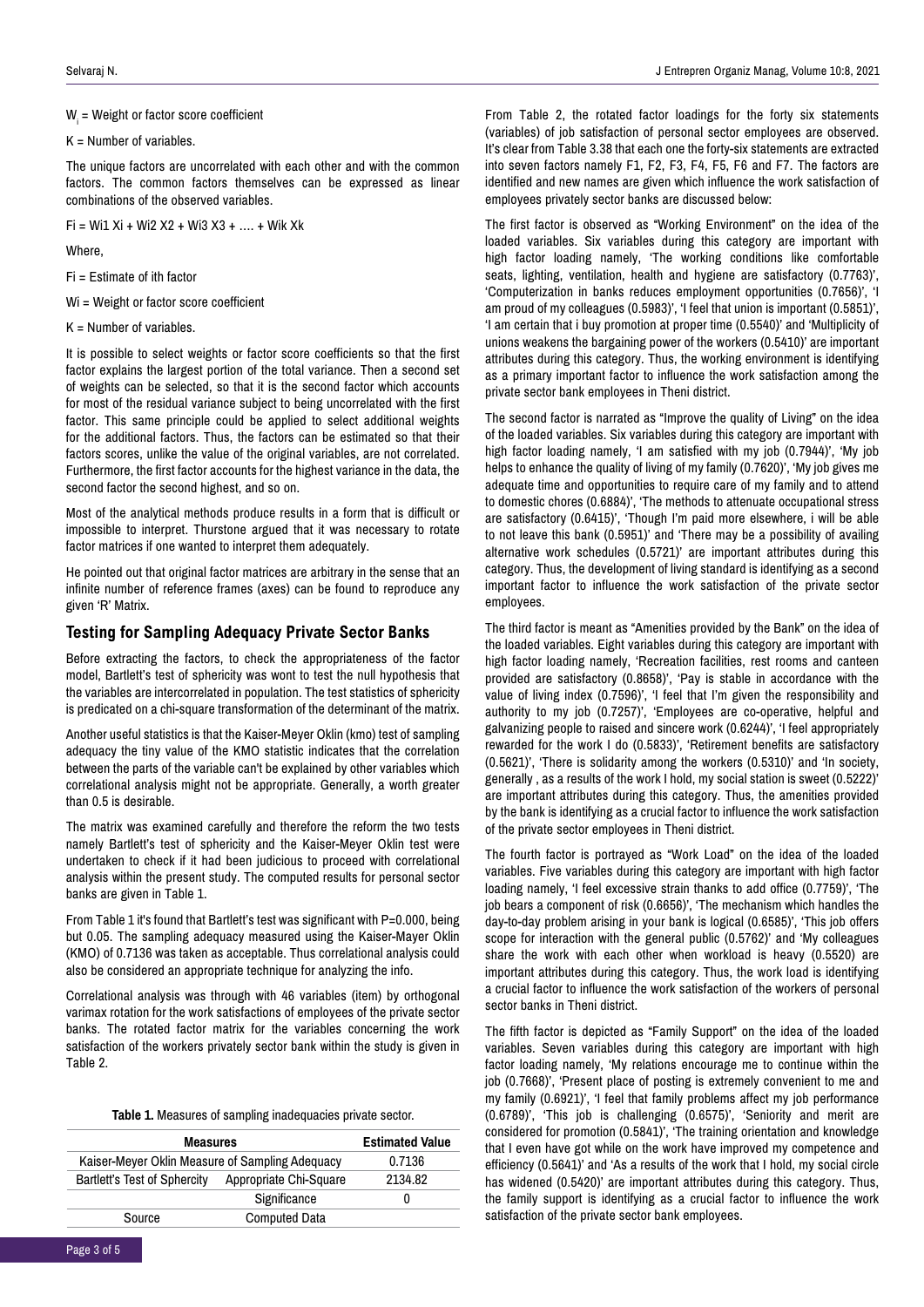$\boldsymbol{\mathsf{W}}_{_{\mathsf{i}}}$  = Weight or factor score coefficient

 $K =$  Number of variables.

The unique factors are uncorrelated with each other and with the common factors. The common factors themselves can be expressed as linear combinations of the observed variables.

 $Fi = Wi1 Xi + Wi2 X2 + Wi3 X3 + ... + Wik Xk$ 

Where,

Fi = Estimate of ith factor

Wi = Weight or factor score coefficient

It is possible to select weights or factor score coefficients so that the first factor explains the largest portion of the total variance. Then a second set of weights can be selected, so that it is the second factor which accounts for most of the residual variance subject to being uncorrelated with the first factor. This same principle could be applied to select additional weights for the additional factors. Thus, the factors can be estimated so that their factors scores, unlike the value of the original variables, are not correlated. Furthermore, the first factor accounts for the highest variance in the data, the second factor the second highest, and so on.

Most of the analytical methods produce results in a form that is difficult or impossible to interpret. Thurstone argued that it was necessary to rotate factor matrices if one wanted to interpret them adequately.

He pointed out that original factor matrices are arbitrary in the sense that an infinite number of reference frames (axes) can be found to reproduce any given 'R' Matrix.

#### **Testing for Sampling Adequacy Private Sector Banks**

Before extracting the factors, to check the appropriateness of the factor model, Bartlett's test of sphericity was wont to test the null hypothesis that the variables are intercorrelated in population. The test statistics of sphericity is predicated on a chi-square transformation of the determinant of the matrix.

Another useful statistics is that the Kaiser-Meyer Oklin (kmo) test of sampling adequacy the tiny value of the KMO statistic indicates that the correlation between the parts of the variable can't be explained by other variables which correlational analysis might not be appropriate. Generally, a worth greater than 0.5 is desirable.

The matrix was examined carefully and therefore the reform the two tests namely Bartlett's test of sphericity and the Kaiser-Meyer Oklin test were undertaken to check if it had been judicious to proceed with correlational analysis within the present study. The computed results for personal sector banks are given in Table 1.

From Table 1 it's found that Bartlett's test was significant with P=0.000, being but 0.05. The sampling adequacy measured using the Kaiser-Mayer Oklin (KMO) of 0.7136 was taken as acceptable. Thus correlational analysis could also be considered an appropriate technique for analyzing the info.

Correlational analysis was through with 46 variables (item) by orthogonal varimax rotation for the work satisfactions of employees of the private sector banks. The rotated factor matrix for the variables concerning the work satisfaction of the workers privately sector bank within the study is given in Table 2.

#### **Table 1.** Measures of sampling inadequacies private sector.

| <b>Measures</b>                                 | <b>Estimated Value</b> |         |  |
|-------------------------------------------------|------------------------|---------|--|
| Kaiser-Meyer Oklin Measure of Sampling Adequacy |                        | 0.7136  |  |
| <b>Bartlett's Test of Sphercity</b>             | Appropriate Chi-Square | 2134.82 |  |
|                                                 | Significance           | 0       |  |
| Source                                          | <b>Computed Data</b>   |         |  |

From Table 2, the rotated factor loadings for the forty six statements (variables) of job satisfaction of personal sector employees are observed. It's clear from Table 3.38 that each one the forty-six statements are extracted into seven factors namely F1, F2, F3, F4, F5, F6 and F7. The factors are identified and new names are given which influence the work satisfaction of employees privately sector banks are discussed below:

The first factor is observed as "Working Environment" on the idea of the loaded variables. Six variables during this category are important with high factor loading namely, 'The working conditions like comfortable seats, lighting, ventilation, health and hygiene are satisfactory (0.7763)', 'Computerization in banks reduces employment opportunities (0.7656)', 'I am proud of my colleagues (0.5983)', 'I feel that union is important (0.5851)', 'I am certain that i buy promotion at proper time (0.5540)' and 'Multiplicity of unions weakens the bargaining power of the workers (0.5410)' are important attributes during this category. Thus, the working environment is identifying as a primary important factor to influence the work satisfaction among the private sector bank employees in Theni district.

The second factor is narrated as "Improve the quality of Living" on the idea of the loaded variables. Six variables during this category are important with high factor loading namely, 'I am satisfied with my job (0.7944)', 'My job helps to enhance the quality of living of my family (0.7620)', 'My job gives me adequate time and opportunities to require care of my family and to attend to domestic chores (0.6884)', 'The methods to attenuate occupational stress are satisfactory (0.6415)', 'Though I'm paid more elsewhere, i will be able to not leave this bank (0.5951)' and 'There may be a possibility of availing alternative work schedules (0.5721)' are important attributes during this category. Thus, the development of living standard is identifying as a second important factor to influence the work satisfaction of the private sector employees.

The third factor is meant as "Amenities provided by the Bank" on the idea of the loaded variables. Eight variables during this category are important with high factor loading namely, 'Recreation facilities, rest rooms and canteen provided are satisfactory (0.8658)', 'Pay is stable in accordance with the value of living index (0.7596)', 'I feel that I'm given the responsibility and authority to my job (0.7257)', 'Employees are co-operative, helpful and galvanizing people to raised and sincere work (0.6244)', 'I feel appropriately rewarded for the work I do (0.5833)', 'Retirement benefits are satisfactory (0.5621)', 'There is solidarity among the workers (0.5310)' and 'In society, generally , as a results of the work I hold, my social station is sweet (0.5222)' are important attributes during this category. Thus, the amenities provided by the bank is identifying as a crucial factor to influence the work satisfaction of the private sector employees in Theni district.

The fourth factor is portrayed as "Work Load" on the idea of the loaded variables. Five variables during this category are important with high factor loading namely, 'I feel excessive strain thanks to add office (0.7759)', 'The job bears a component of risk (0.6656)', 'The mechanism which handles the day-to-day problem arising in your bank is logical (0.6585)', 'This job offers scope for interaction with the general public (0.5762)' and 'My colleagues share the work with each other when workload is heavy (0.5520) are important attributes during this category. Thus, the work load is identifying a crucial factor to influence the work satisfaction of the workers of personal sector banks in Theni district.

The fifth factor is depicted as "Family Support" on the idea of the loaded variables. Seven variables during this category are important with high factor loading namely, 'My relations encourage me to continue within the job (0.7668)', 'Present place of posting is extremely convenient to me and my family (0.6921)', 'I feel that family problems affect my job performance (0.6789)', 'This job is challenging (0.6575)', 'Seniority and merit are considered for promotion (0.5841)', 'The training orientation and knowledge that I even have got while on the work have improved my competence and efficiency (0.5641)' and 'As a results of the work that I hold, my social circle has widened (0.5420)' are important attributes during this category. Thus, the family support is identifying as a crucial factor to influence the work satisfaction of the private sector bank employees.

 $K =$  Number of variables.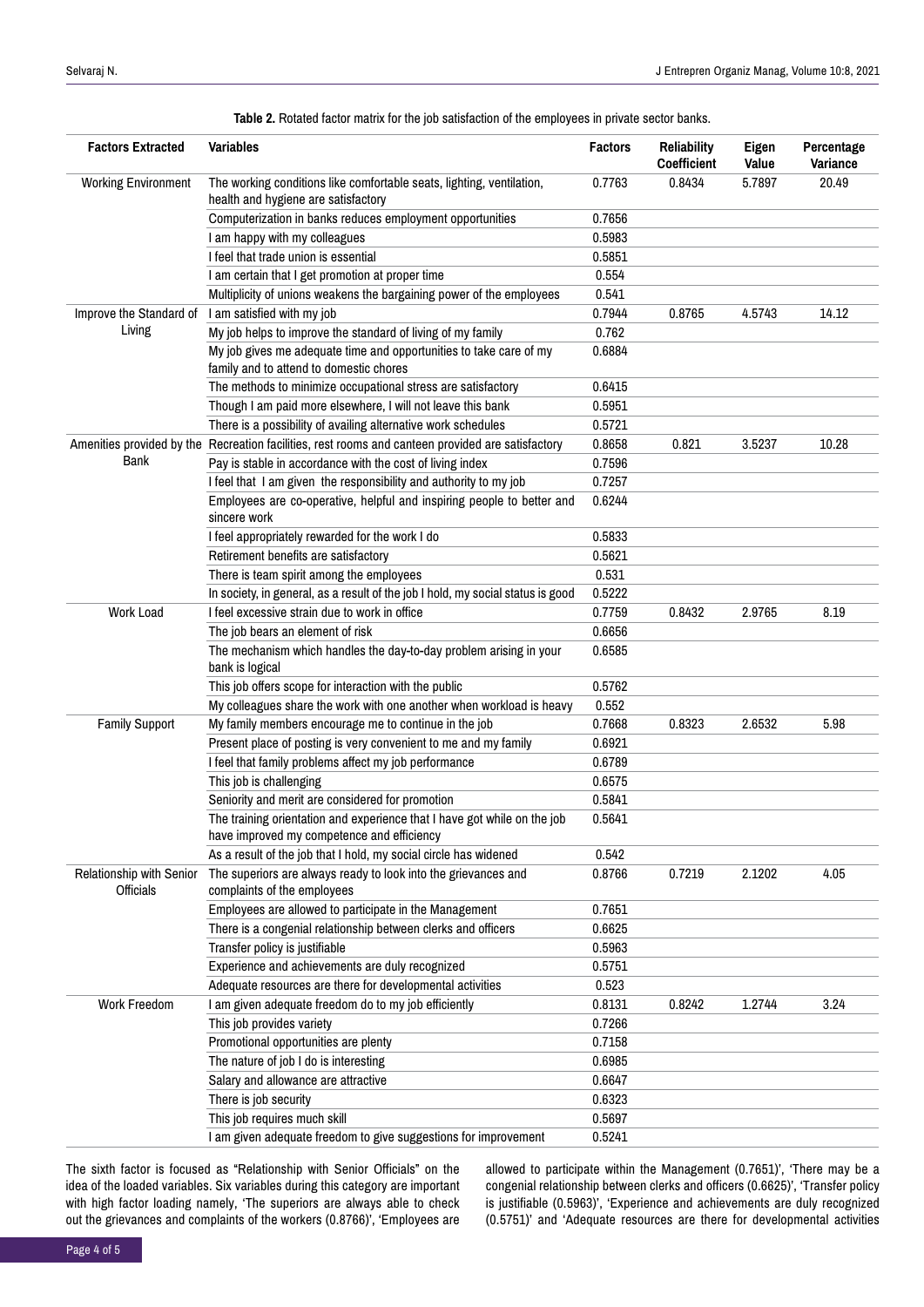| <b>Factors Extracted</b>              | <b>Variables</b>                                                                                                       | <b>Factors</b> | <b>Reliability</b><br>Coefficient | Eigen<br>Value                       | Percentage<br>Variance |
|---------------------------------------|------------------------------------------------------------------------------------------------------------------------|----------------|-----------------------------------|--------------------------------------|------------------------|
| <b>Working Environment</b>            | The working conditions like comfortable seats, lighting, ventilation,<br>health and hygiene are satisfactory           | 0.7763         | 0.8434                            | 5.7897                               | 20.49                  |
|                                       | Computerization in banks reduces employment opportunities                                                              | 0.7656         |                                   |                                      |                        |
|                                       | I am happy with my colleagues                                                                                          | 0.5983         |                                   |                                      |                        |
|                                       | I feel that trade union is essential                                                                                   | 0.5851         |                                   |                                      |                        |
|                                       | I am certain that I get promotion at proper time                                                                       | 0.554          |                                   |                                      |                        |
|                                       | Multiplicity of unions weakens the bargaining power of the employees                                                   | 0.541          |                                   |                                      |                        |
| Improve the Standard of               | I am satisfied with my job                                                                                             | 0.7944         | 0.8765                            | 4.5743                               | 14.12                  |
| Living                                | My job helps to improve the standard of living of my family                                                            | 0.762          |                                   |                                      |                        |
|                                       | My job gives me adequate time and opportunities to take care of my<br>family and to attend to domestic chores          | 0.6884         |                                   |                                      |                        |
|                                       | The methods to minimize occupational stress are satisfactory                                                           | 0.6415         |                                   |                                      |                        |
|                                       | Though I am paid more elsewhere, I will not leave this bank                                                            | 0.5951         |                                   |                                      |                        |
|                                       | There is a possibility of availing alternative work schedules                                                          | 0.5721         |                                   |                                      |                        |
|                                       | Amenities provided by the Recreation facilities, rest rooms and canteen provided are satisfactory                      | 0.8658         | 0.821                             | 3.5237                               | 10.28                  |
| Bank                                  | Pay is stable in accordance with the cost of living index                                                              | 0.7596         |                                   |                                      |                        |
|                                       | I feel that I am given the responsibility and authority to my job                                                      | 0.7257         |                                   |                                      |                        |
|                                       | Employees are co-operative, helpful and inspiring people to better and<br>sincere work                                 | 0.6244         |                                   |                                      |                        |
|                                       | I feel appropriately rewarded for the work I do                                                                        | 0.5833         |                                   |                                      |                        |
|                                       | Retirement benefits are satisfactory                                                                                   | 0.5621         |                                   |                                      |                        |
|                                       | There is team spirit among the employees                                                                               | 0.531          |                                   |                                      |                        |
|                                       | In society, in general, as a result of the job I hold, my social status is good                                        | 0.5222         |                                   |                                      |                        |
| <b>Work Load</b>                      | I feel excessive strain due to work in office                                                                          | 0.7759         | 0.8432                            | 2.9765<br>2.6532<br>2.1202<br>1.2744 | 8.19                   |
|                                       | The job bears an element of risk                                                                                       | 0.6656         |                                   |                                      |                        |
|                                       | The mechanism which handles the day-to-day problem arising in your<br>bank is logical                                  | 0.6585         |                                   |                                      |                        |
|                                       | This job offers scope for interaction with the public                                                                  | 0.5762         |                                   |                                      |                        |
|                                       | My colleagues share the work with one another when workload is heavy                                                   | 0.552          |                                   |                                      |                        |
| <b>Family Support</b>                 | My family members encourage me to continue in the job                                                                  | 0.7668         | 0.8323                            |                                      | 5.98                   |
|                                       | Present place of posting is very convenient to me and my family                                                        | 0.6921         |                                   |                                      |                        |
|                                       | I feel that family problems affect my job performance                                                                  | 0.6789         |                                   |                                      |                        |
|                                       | This job is challenging                                                                                                | 0.6575         |                                   |                                      |                        |
|                                       | Seniority and merit are considered for promotion                                                                       | 0.5841         |                                   |                                      |                        |
|                                       | The training orientation and experience that I have got while on the job<br>have improved my competence and efficiency | 0.5641         |                                   |                                      |                        |
|                                       | As a result of the job that I hold, my social circle has widened                                                       | 0.542          |                                   |                                      |                        |
| Relationship with Senior<br>Officials | The superiors are always ready to look into the grievances and<br>complaints of the employees                          | 0.8766         | 0.7219                            |                                      | 4.05                   |
|                                       | Employees are allowed to participate in the Management                                                                 | 0.7651         |                                   |                                      |                        |
|                                       | There is a congenial relationship between clerks and officers                                                          | 0.6625         |                                   |                                      |                        |
|                                       | Transfer policy is justifiable                                                                                         | 0.5963         |                                   |                                      |                        |
|                                       | Experience and achievements are duly recognized                                                                        | 0.5751         |                                   |                                      |                        |
|                                       | Adequate resources are there for developmental activities                                                              | 0.523          |                                   |                                      |                        |
| <b>Work Freedom</b>                   | I am given adequate freedom do to my job efficiently                                                                   | 0.8131         | 0.8242                            |                                      | 3.24                   |
|                                       | This job provides variety                                                                                              | 0.7266         |                                   |                                      |                        |
|                                       | Promotional opportunities are plenty                                                                                   | 0.7158         |                                   |                                      |                        |
|                                       | The nature of job I do is interesting                                                                                  | 0.6985         |                                   |                                      |                        |
|                                       | Salary and allowance are attractive                                                                                    | 0.6647         |                                   |                                      |                        |
|                                       | There is job security                                                                                                  | 0.6323         |                                   |                                      |                        |
|                                       | This job requires much skill                                                                                           | 0.5697         |                                   |                                      |                        |
|                                       | I am given adequate freedom to give suggestions for improvement                                                        | 0.5241         |                                   |                                      |                        |

**Table 2.** Rotated factor matrix for the job satisfaction of the employees in private sector banks.

The sixth factor is focused as "Relationship with Senior Officials" on the idea of the loaded variables. Six variables during this category are important with high factor loading namely, 'The superiors are always able to check out the grievances and complaints of the workers (0.8766)', 'Employees are allowed to participate within the Management (0.7651)', 'There may be a congenial relationship between clerks and officers (0.6625)', 'Transfer policy is justifiable (0.5963)', 'Experience and achievements are duly recognized (0.5751)' and 'Adequate resources are there for developmental activities